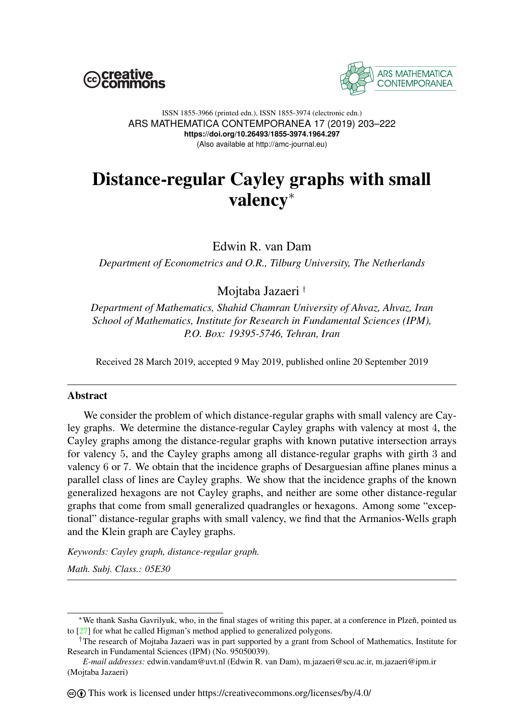



#### ISSN 1855-3966 (printed edn.), ISSN 1855-3974 (electronic edn.) ARS MATHEMATICA CONTEMPORANEA 17 (2019) 203–222 **https://doi.org/10.26493/1855-3974.1964.297** (Also available at http://amc-journal.eu)

# Distance-regular Cayley graphs with small valency<sup>∗</sup>

Edwin R. van Dam

*Department of Econometrics and O.R., Tilburg University, The Netherlands*

Mojtaba Jazaeri †

*Department of Mathematics, Shahid Chamran University of Ahvaz, Ahvaz, Iran School of Mathematics, Institute for Research in Fundamental Sciences (IPM), P.O. Box: 19395-5746, Tehran, Iran*

Received 28 March 2019, accepted 9 May 2019, published online 20 September 2019

## Abstract

We consider the problem of which distance-regular graphs with small valency are Cayley graphs. We determine the distance-regular Cayley graphs with valency at most 4, the Cayley graphs among the distance-regular graphs with known putative intersection arrays for valency 5, and the Cayley graphs among all distance-regular graphs with girth 3 and valency 6 or 7. We obtain that the incidence graphs of Desarguesian affine planes minus a parallel class of lines are Cayley graphs. We show that the incidence graphs of the known generalized hexagons are not Cayley graphs, and neither are some other distance-regular graphs that come from small generalized quadrangles or hexagons. Among some "exceptional" distance-regular graphs with small valency, we find that the Armanios-Wells graph and the Klein graph are Cayley graphs.

*Keywords: Cayley graph, distance-regular graph.*

*Math. Subj. Class.: 05E30*

<sup>∗</sup>We thank Sasha Gavrilyuk, who, in the final stages of writing this paper, at a conference in Plzen, pointed us ˇ to [\[27\]](#page-19-0) for what he called Higman's method applied to generalized polygons.

<sup>†</sup>The research of Mojtaba Jazaeri was in part supported by a grant from School of Mathematics, Institute for Research in Fundamental Sciences (IPM) (No. 95050039).

*E-mail addresses:* edwin.vandam@uvt.nl (Edwin R. van Dam), m.jazaeri@scu.ac.ir, m.jazaeri@ipm.ir (Mojtaba Jazaeri)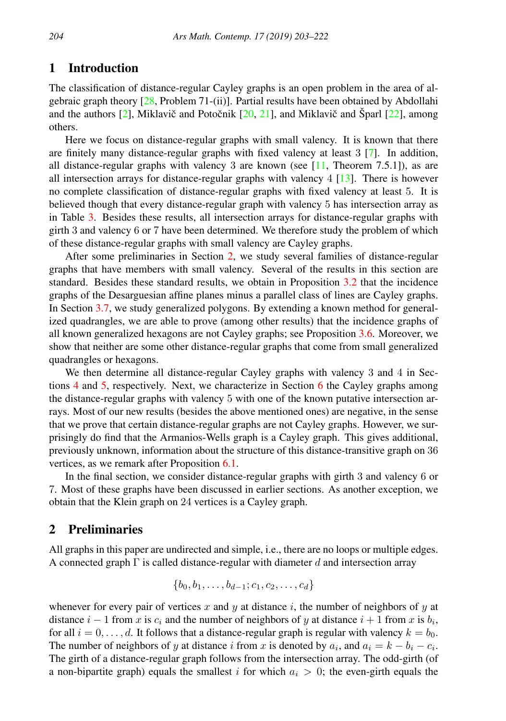# 1 Introduction

The classification of distance-regular Cayley graphs is an open problem in the area of algebraic graph theory [\[28,](#page-19-1) Problem 71-(ii)]. Partial results have been obtained by Abdollahi and the authors  $[2]$ , Miklavič and Potočnik  $[20, 21]$  $[20, 21]$  $[20, 21]$  $[20, 21]$ , and Miklavič and Šparl  $[22]$  $[22]$ , among others.

Here we focus on distance-regular graphs with small valency. It is known that there are finitely many distance-regular graphs with fixed valency at least 3 [\[7\]](#page-18-1). In addition, all distance-regular graphs with valency 3 are known (see  $[11,$  Theorem 7.5.1]), as are all intersection arrays for distance-regular graphs with valency  $4 \overline{13}$ . There is however no complete classification of distance-regular graphs with fixed valency at least 5. It is believed though that every distance-regular graph with valency 5 has intersection array as in Table [3.](#page-15-0) Besides these results, all intersection arrays for distance-regular graphs with girth 3 and valency 6 or 7 have been determined. We therefore study the problem of which of these distance-regular graphs with small valency are Cayley graphs.

After some preliminaries in Section [2,](#page-1-0) we study several families of distance-regular graphs that have members with small valency. Several of the results in this section are standard. Besides these standard results, we obtain in Proposition [3.2](#page-6-0) that the incidence graphs of the Desarguesian affine planes minus a parallel class of lines are Cayley graphs. In Section [3.7,](#page-6-1) we study generalized polygons. By extending a known method for generalized quadrangles, we are able to prove (among other results) that the incidence graphs of all known generalized hexagons are not Cayley graphs; see Proposition [3.6.](#page-8-0) Moreover, we show that neither are some other distance-regular graphs that come from small generalized quadrangles or hexagons.

We then determine all distance-regular Cayley graphs with valency 3 and 4 in Sections  $4$  and  $5$ , respectively. Next, we characterize in Section  $6$  the Cayley graphs among the distance-regular graphs with valency 5 with one of the known putative intersection arrays. Most of our new results (besides the above mentioned ones) are negative, in the sense that we prove that certain distance-regular graphs are not Cayley graphs. However, we surprisingly do find that the Armanios-Wells graph is a Cayley graph. This gives additional, previously unknown, information about the structure of this distance-transitive graph on 36 vertices, as we remark after Proposition [6.1.](#page-14-1)

In the final section, we consider distance-regular graphs with girth 3 and valency 6 or 7. Most of these graphs have been discussed in earlier sections. As another exception, we obtain that the Klein graph on 24 vertices is a Cayley graph.

# <span id="page-1-0"></span>2 Preliminaries

All graphs in this paper are undirected and simple, i.e., there are no loops or multiple edges. A connected graph  $\Gamma$  is called distance-regular with diameter d and intersection array

$$
\{b_0, b_1, \ldots, b_{d-1}; c_1, c_2, \ldots, c_d\}
$$

whenever for every pair of vertices x and y at distance i, the number of neighbors of y at distance  $i - 1$  from x is  $c_i$  and the number of neighbors of y at distance  $i + 1$  from x is  $b_i$ , for all  $i = 0, \ldots, d$ . It follows that a distance-regular graph is regular with valency  $k = b_0$ . The number of neighbors of y at distance i from x is denoted by  $a_i$ , and  $a_i = k - b_i - c_i$ . The girth of a distance-regular graph follows from the intersection array. The odd-girth (of a non-bipartite graph) equals the smallest i for which  $a_i > 0$ ; the even-girth equals the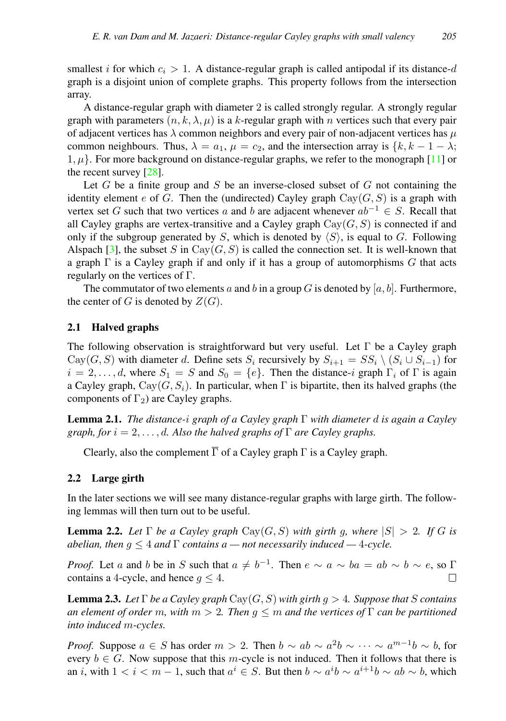smallest i for which  $c_i > 1$ . A distance-regular graph is called antipodal if its distance-d graph is a disjoint union of complete graphs. This property follows from the intersection array.

A distance-regular graph with diameter 2 is called strongly regular. A strongly regular graph with parameters  $(n, k, \lambda, \mu)$  is a k-regular graph with n vertices such that every pair of adjacent vertices has  $\lambda$  common neighbors and every pair of non-adjacent vertices has  $\mu$ common neighbours. Thus,  $\lambda = a_1$ ,  $\mu = c_2$ , and the intersection array is  $\{k, k - 1 - \lambda\}$ ;  $1, \mu$ . For more background on distance-regular graphs, we refer to the monograph [\[11\]](#page-19-5) or the recent survey [\[28\]](#page-19-1).

Let  $G$  be a finite group and  $S$  be an inverse-closed subset of  $G$  not containing the identity element e of G. Then the (undirected) Cayley graph  $Cay(G, S)$  is a graph with vertex set G such that two vertices a and b are adjacent whenever  $ab^{-1} \in S$ . Recall that all Cayley graphs are vertex-transitive and a Cayley graph  $Cay(G, S)$  is connected if and only if the subgroup generated by S, which is denoted by  $\langle S \rangle$ , is equal to G. Following Alspach [\[3\]](#page-18-2), the subset S in Cay $(G, S)$  is called the connection set. It is well-known that a graph  $\Gamma$  is a Cayley graph if and only if it has a group of automorphisms G that acts regularly on the vertices of Γ.

The commutator of two elements a and b in a group G is denoted by  $[a, b]$ . Furthermore, the center of G is denoted by  $Z(G)$ .

## 2.1 Halved graphs

The following observation is straightforward but very useful. Let  $\Gamma$  be a Cayley graph Cay(G, S) with diameter d. Define sets  $S_i$  recursively by  $S_{i+1} = SS_i \setminus (S_i \cup S_{i-1})$  for  $i = 2, \ldots, d$ , where  $S_1 = S$  and  $S_0 = \{e\}$ . Then the distance-i graph  $\Gamma_i$  of  $\Gamma$  is again a Cayley graph,  $Cay(G, S_i)$ . In particular, when  $\Gamma$  is bipartite, then its halved graphs (the components of  $\Gamma_2$ ) are Cayley graphs.

<span id="page-2-1"></span>Lemma 2.1. *The distance-*i *graph of a Cayley graph* Γ *with diameter* d *is again a Cayley graph, for*  $i = 2, \ldots, d$ . Also the halved graphs of  $\Gamma$  are Cayley graphs.

Clearly, also the complement  $\overline{\Gamma}$  of a Cayley graph  $\Gamma$  is a Cayley graph.

## 2.2 Large girth

In the later sections we will see many distance-regular graphs with large girth. The following lemmas will then turn out to be useful.

<span id="page-2-0"></span>**Lemma 2.2.** Let  $\Gamma$  be a Cayley graph  $Cay(G, S)$  with girth g, where  $|S| > 2$ . If G is *abelian, then*  $g \leq 4$  *and*  $\Gamma$  *contains a — not necessarily induced —* 4*-cycle.* 

*Proof.* Let a and b be in S such that  $a \neq b^{-1}$ . Then  $e \sim a \sim ba = ab \sim b \sim e$ , so  $\Gamma$ contains a 4-cycle, and hence  $g \leq 4$ .  $\Box$ 

**Lemma 2.3.** Let  $\Gamma$  be a Cayley graph  $\text{Cay}(G, S)$  with girth  $g > 4$ . Suppose that S contains *an element of order* m, with  $m > 2$ . Then  $g \leq m$  and the vertices of  $\Gamma$  can be partitioned *into induced* m*-cycles.*

*Proof.* Suppose  $a \in S$  has order  $m > 2$ . Then  $b \sim ab \sim a^2b \sim \cdots \sim a^{m-1}b \sim b$ , for every  $b \in G$ . Now suppose that this m-cycle is not induced. Then it follows that there is an *i*, with  $1 < i < m - 1$ , such that  $a^i \in S$ . But then  $b \sim a^i b \sim a^{i+1} b \sim ab \sim b$ , which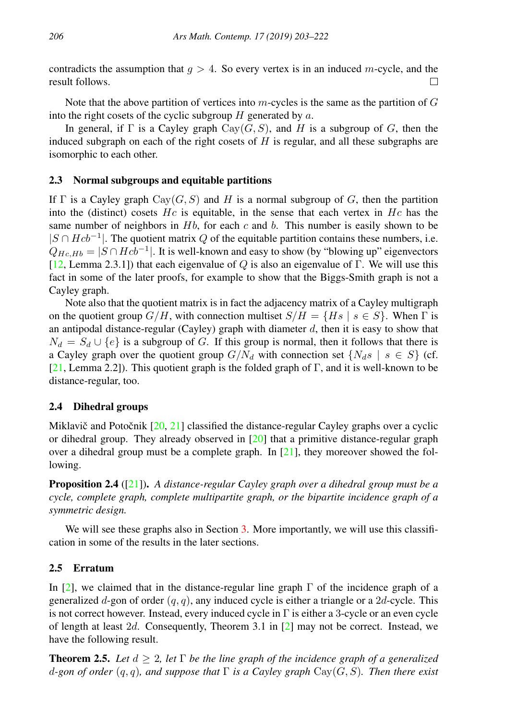contradicts the assumption that  $g > 4$ . So every vertex is in an induced m-cycle, and the result follows.  $\Box$ 

Note that the above partition of vertices into  $m$ -cycles is the same as the partition of  $G$ into the right cosets of the cyclic subgroup  $H$  generated by  $a$ .

In general, if  $\Gamma$  is a Cayley graph  $Cay(G, S)$ , and H is a subgroup of G, then the induced subgraph on each of the right cosets of  $H$  is regular, and all these subgraphs are isomorphic to each other.

## <span id="page-3-2"></span>2.3 Normal subgroups and equitable partitions

If  $\Gamma$  is a Cayley graph  $\text{Cay}(G, S)$  and H is a normal subgroup of G, then the partition into the (distinct) cosets  $He$  is equitable, in the sense that each vertex in  $He$  has the same number of neighbors in  $Hb$ , for each c and b. This number is easily shown to be  $|S \cap Hcb^{-1}|$ . The quotient matrix Q of the equitable partition contains these numbers, i.e.  $Q_{Hc,Hb} = |S \cap Hcb^{-1}|$ . It is well-known and easy to show (by "blowing up" eigenvectors [\[12,](#page-19-7) Lemma 2.3.1]) that each eigenvalue of Q is also an eigenvalue of Γ. We will use this fact in some of the later proofs, for example to show that the Biggs-Smith graph is not a Cayley graph.

Note also that the quotient matrix is in fact the adjacency matrix of a Cayley multigraph on the quotient group  $G/H$ , with connection multiset  $S/H = \{Hs \mid s \in S\}$ . When  $\Gamma$  is an antipodal distance-regular (Cayley) graph with diameter  $d$ , then it is easy to show that  $N_d = S_d \cup \{e\}$  is a subgroup of G. If this group is normal, then it follows that there is a Cayley graph over the quotient group  $G/N_d$  with connection set  $\{N_d s \mid s \in S\}$  (cf. [\[21,](#page-19-3) Lemma 2.2]). This quotient graph is the folded graph of  $\Gamma$ , and it is well-known to be distance-regular, too.

#### 2.4 Dihedral groups

Miklavič and Potočnik  $[20, 21]$  $[20, 21]$  $[20, 21]$  $[20, 21]$  classified the distance-regular Cayley graphs over a cyclic or dihedral group. They already observed in [\[20\]](#page-19-2) that a primitive distance-regular graph over a dihedral group must be a complete graph. In  $[21]$ , they moreover showed the following.

Proposition 2.4 ([\[21\]](#page-19-3)). *A distance-regular Cayley graph over a dihedral group must be a cycle, complete graph, complete multipartite graph, or the bipartite incidence graph of a symmetric design.*

We will see these graphs also in Section [3.](#page-4-0) More importantly, we will use this classification in some of the results in the later sections.

## <span id="page-3-1"></span>2.5 Erratum

In [\[2\]](#page-18-0), we claimed that in the distance-regular line graph  $\Gamma$  of the incidence graph of a generalized d-gon of order  $(q, q)$ , any induced cycle is either a triangle or a 2d-cycle. This is not correct however. Instead, every induced cycle in  $\Gamma$  is either a 3-cycle or an even cycle of length at least  $2d$ . Consequently, Theorem 3.1 in [\[2\]](#page-18-0) may not be correct. Instead, we have the following result.

<span id="page-3-0"></span>Theorem 2.5. *Let* d ≥ 2*, let* Γ *be the line graph of the incidence graph of a generalized* d*-gon of order* (q, q)*, and suppose that* Γ *is a Cayley graph* Cay(G, S)*. Then there exist*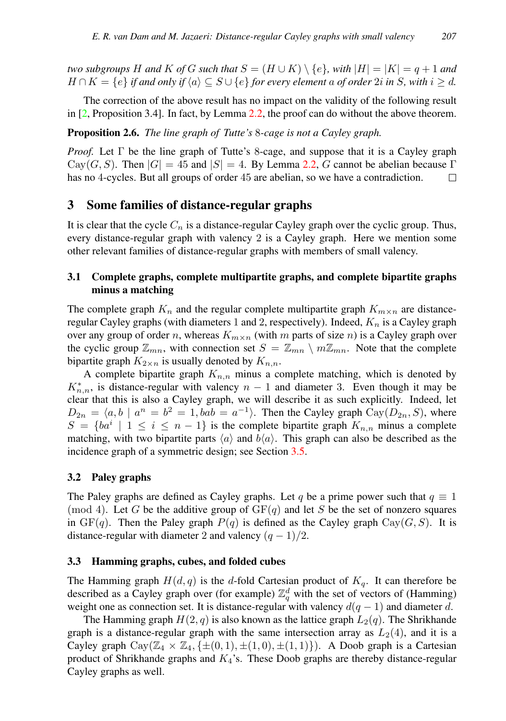*two subgroups* H and K of G such that  $S = (H \cup K) \setminus \{e\}$ , with  $|H| = |K| = q + 1$  and  $H \cap K = \{e\}$  *if and only if*  $\langle a \rangle \subseteq S \cup \{e\}$  *for every element a of order* 2*i in* S, with  $i \geq d$ .

The correction of the above result has no impact on the validity of the following result in [\[2,](#page-18-0) Proposition 3.4]. In fact, by Lemma [2.2,](#page-2-0) the proof can do without the above theorem.

<span id="page-4-4"></span>Proposition 2.6. *The line graph of Tutte's* 8*-cage is not a Cayley graph.*

*Proof.* Let  $\Gamma$  be the line graph of Tutte's 8-cage, and suppose that it is a Cayley graph  $Cav(G, S)$ . Then  $|G| = 45$  and  $|S| = 4$ . By Lemma [2.2,](#page-2-0) G cannot be abelian because  $\Gamma$ has no 4-cycles. But all groups of order 45 are abelian, so we have a contradiction.  $\Box$ 

# <span id="page-4-0"></span>3 Some families of distance-regular graphs

It is clear that the cycle  $C_n$  is a distance-regular Cayley graph over the cyclic group. Thus, every distance-regular graph with valency 2 is a Cayley graph. Here we mention some other relevant families of distance-regular graphs with members of small valency.

# <span id="page-4-1"></span>3.1 Complete graphs, complete multipartite graphs, and complete bipartite graphs minus a matching

The complete graph  $K_n$  and the regular complete multipartite graph  $K_{m \times n}$  are distanceregular Cayley graphs (with diameters 1 and 2, respectively). Indeed,  $K_n$  is a Cayley graph over any group of order n, whereas  $K_{m \times n}$  (with m parts of size n) is a Cayley graph over the cyclic group  $\mathbb{Z}_{mn}$ , with connection set  $S = \mathbb{Z}_{mn} \setminus m\mathbb{Z}_{mn}$ . Note that the complete bipartite graph  $K_{2\times n}$  is usually denoted by  $K_{n,n}$ .

A complete bipartite graph  $K_{n,n}$  minus a complete matching, which is denoted by  $K_{n,n}^*$ , is distance-regular with valency  $n-1$  and diameter 3. Even though it may be clear that this is also a Cayley graph, we will describe it as such explicitly. Indeed, let  $D_{2n} = \langle a, b \mid a^n = b^2 = 1, bab = a^{-1} \rangle$ . Then the Cayley graph  $Cay(D_{2n}, S)$ , where  $S = \{ba^i \mid 1 \le i \le n-1\}$  is the complete bipartite graph  $K_{n,n}$  minus a complete matching, with two bipartite parts  $\langle a \rangle$  and  $b\langle a \rangle$ . This graph can also be described as the incidence graph of a symmetric design; see Section [3.5.](#page-5-0)

## <span id="page-4-2"></span>3.2 Paley graphs

The Paley graphs are defined as Cayley graphs. Let q be a prime power such that  $q \equiv 1$ (mod 4). Let G be the additive group of  $GF(q)$  and let S be the set of nonzero squares in  $GF(q)$ . Then the Paley graph  $P(q)$  is defined as the Cayley graph  $Cay(G, S)$ . It is distance-regular with diameter 2 and valency  $(q - 1)/2$ .

## <span id="page-4-3"></span>3.3 Hamming graphs, cubes, and folded cubes

The Hamming graph  $H(d, q)$  is the d-fold Cartesian product of  $K_q$ . It can therefore be described as a Cayley graph over (for example)  $\mathbb{Z}_q^d$  with the set of vectors of (Hamming) weight one as connection set. It is distance-regular with valency  $d(q - 1)$  and diameter d.

The Hamming graph  $H(2, q)$  is also known as the lattice graph  $L_2(q)$ . The Shrikhande graph is a distance-regular graph with the same intersection array as  $L_2(4)$ , and it is a Cayley graph  $\text{Cay}(\mathbb{Z}_4 \times \mathbb{Z}_4, \{\pm (0, 1), \pm (1, 0), \pm (1, 1)\})$ . A Doob graph is a Cartesian product of Shrikhande graphs and  $K_4$ 's. These Doob graphs are thereby distance-regular Cayley graphs as well.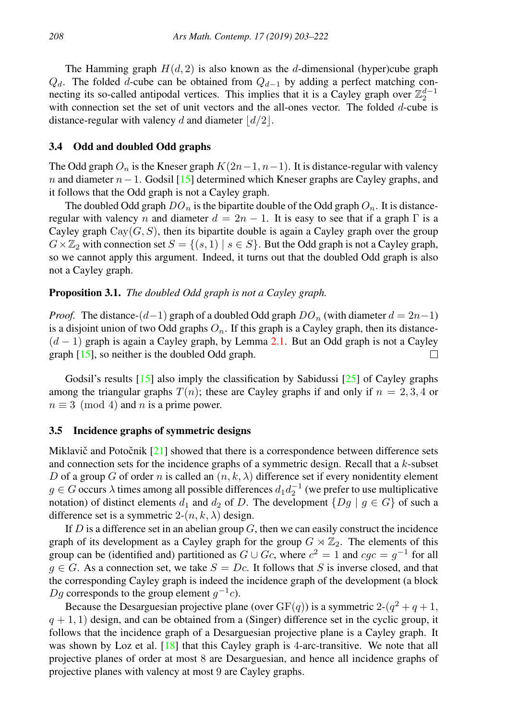The Hamming graph  $H(d, 2)$  is also known as the d-dimensional (hyper)cube graph  $Q_d$ . The folded d-cube can be obtained from  $Q_{d-1}$  by adding a perfect matching connecting its so-called antipodal vertices. This implies that it is a Cayley graph over  $\mathbb{Z}_2^{d-1}$ with connection set the set of unit vectors and the all-ones vector. The folded  $d$ -cube is distance-regular with valency d and diameter  $\lfloor d/2 \rfloor$ .

#### <span id="page-5-1"></span>3.4 Odd and doubled Odd graphs

The Odd graph  $O_n$  is the Kneser graph  $K(2n-1, n-1)$ . It is distance-regular with valency n and diameter  $n-1$ . Godsil [\[15\]](#page-19-8) determined which Kneser graphs are Cayley graphs, and it follows that the Odd graph is not a Cayley graph.

The doubled Odd graph  $DO_n$  is the bipartite double of the Odd graph  $O_n$ . It is distanceregular with valency n and diameter  $d = 2n - 1$ . It is easy to see that if a graph  $\Gamma$  is a Cayley graph  $Cay(G, S)$ , then its bipartite double is again a Cayley graph over the group  $G \times \mathbb{Z}_2$  with connection set  $S = \{(s, 1) \mid s \in S\}$ . But the Odd graph is not a Cayley graph, so we cannot apply this argument. Indeed, it turns out that the doubled Odd graph is also not a Cayley graph.

#### <span id="page-5-2"></span>Proposition 3.1. *The doubled Odd graph is not a Cayley graph.*

*Proof.* The distance- $(d-1)$  graph of a doubled Odd graph  $DO_n$  (with diameter  $d = 2n-1$ ) is a disjoint union of two Odd graphs  $O_n$ . If this graph is a Cayley graph, then its distance- $(d - 1)$  graph is again a Cayley graph, by Lemma [2.1.](#page-2-1) But an Odd graph is not a Cayley graph [\[15\]](#page-19-8), so neither is the doubled Odd graph. П

Godsil's results  $[15]$  also imply the classification by Sabidussi  $[25]$  of Cayley graphs among the triangular graphs  $T(n)$ ; these are Cayley graphs if and only if  $n = 2, 3, 4$  or  $n \equiv 3 \pmod{4}$  and n is a prime power.

#### <span id="page-5-0"></span>3.5 Incidence graphs of symmetric designs

Miklavič and Potočnik  $[21]$  $[21]$  showed that there is a correspondence between difference sets and connection sets for the incidence graphs of a symmetric design. Recall that a  $k$ -subset D of a group G of order n is called an  $(n, k, \lambda)$  difference set if every nonidentity element  $g \in G$  occurs  $\lambda$  times among all possible differences  $d_1 d_2^{-1}$  (we prefer to use multiplicative notation) of distinct elements  $d_1$  and  $d_2$  of D. The development  $\{Dg \mid g \in G\}$  of such a difference set is a symmetric  $2-(n, k, \lambda)$  design.

If D is a difference set in an abelian group  $G$ , then we can easily construct the incidence graph of its development as a Cayley graph for the group  $G \rtimes \mathbb{Z}_2$ . The elements of this group can be (identified and) partitioned as  $G \cup Gc$ , where  $c^2 = 1$  and  $cgc = g^{-1}$  for all  $g \in G$ . As a connection set, we take  $S = Dc$ . It follows that S is inverse closed, and that the corresponding Cayley graph is indeed the incidence graph of the development (a block Dg corresponds to the group element  $g^{-1}c$ ).

Because the Desarguesian projective plane (over  $GF(q)$ ) is a symmetric  $2-(q^2+q+1,$  $q + 1, 1$ ) design, and can be obtained from a (Singer) difference set in the cyclic group, it follows that the incidence graph of a Desarguesian projective plane is a Cayley graph. It was shown by Loz et al. [\[18\]](#page-19-10) that this Cayley graph is 4-arc-transitive. We note that all projective planes of order at most 8 are Desarguesian, and hence all incidence graphs of projective planes with valency at most 9 are Cayley graphs.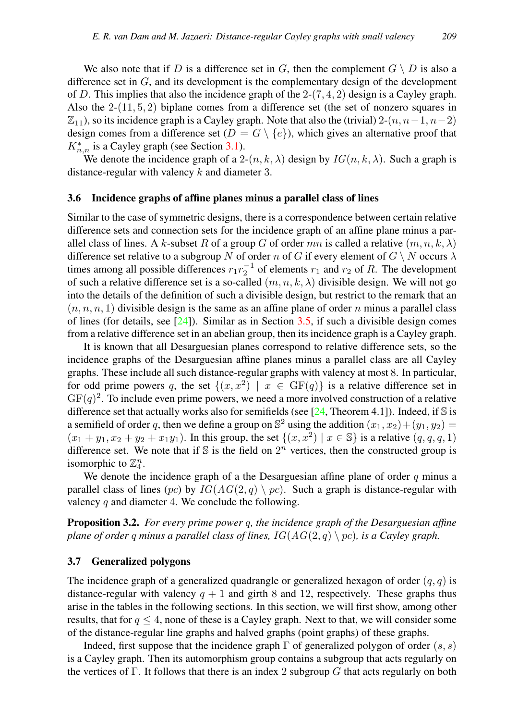We also note that if D is a difference set in G, then the complement  $G \setminus D$  is also a difference set in  $G$ , and its development is the complementary design of the development of D. This implies that also the incidence graph of the  $2-(7, 4, 2)$  design is a Cayley graph. Also the  $2-(11, 5, 2)$  biplane comes from a difference set (the set of nonzero squares in  $\mathbb{Z}_{11}$ , so its incidence graph is a Cayley graph. Note that also the (trivial) 2- $(n, n-1, n-2)$ design comes from a difference set  $(D = G \setminus \{e\})$ , which gives an alternative proof that  $K_{n,n}^*$  is a Cayley graph (see Section [3.1\)](#page-4-1).

We denote the incidence graph of a 2- $(n, k, \lambda)$  design by  $IG(n, k, \lambda)$ . Such a graph is distance-regular with valency  $k$  and diameter 3.

#### <span id="page-6-2"></span>3.6 Incidence graphs of affine planes minus a parallel class of lines

Similar to the case of symmetric designs, there is a correspondence between certain relative difference sets and connection sets for the incidence graph of an affine plane minus a parallel class of lines. A k-subset R of a group G of order mn is called a relative  $(m, n, k, \lambda)$ difference set relative to a subgroup N of order n of G if every element of  $G \setminus N$  occurs  $\lambda$ times among all possible differences  $r_1 r_2^{-1}$  of elements  $r_1$  and  $r_2$  of R. The development of such a relative difference set is a so-called  $(m, n, k, \lambda)$  divisible design. We will not go into the details of the definition of such a divisible design, but restrict to the remark that an  $(n, n, n, 1)$  divisible design is the same as an affine plane of order n minus a parallel class of lines (for details, see  $[24]$ ). Similar as in Section [3.5,](#page-5-0) if such a divisible design comes from a relative difference set in an abelian group, then its incidence graph is a Cayley graph.

It is known that all Desarguesian planes correspond to relative difference sets, so the incidence graphs of the Desarguesian affine planes minus a parallel class are all Cayley graphs. These include all such distance-regular graphs with valency at most 8. In particular, for odd prime powers q, the set  $\{(x, x^2) \mid x \in \text{GF}(q)\}\$ is a relative difference set in  $GF(q)^2$ . To include even prime powers, we need a more involved construction of a relative difference set that actually works also for semifields (see  $[24,$  Theorem 4.1]). Indeed, if S is a semifield of order q, then we define a group on  $\mathbb{S}^2$  using the addition  $(x_1, x_2) + (y_1, y_2) =$  $(x_1 + y_1, x_2 + y_2 + x_1y_1)$ . In this group, the set  $\{(x, x^2) | x \in \mathbb{S}\}\)$  is a relative  $(q, q, q, 1)$ difference set. We note that if S is the field on  $2^n$  vertices, then the constructed group is isomorphic to  $\mathbb{Z}_4^n$ .

We denote the incidence graph of a the Desarguesian affine plane of order  $q$  minus a parallel class of lines (pc) by  $IG(AG(2,q) \setminus pc)$ . Such a graph is distance-regular with valency  $q$  and diameter 4. We conclude the following.

<span id="page-6-0"></span>Proposition 3.2. *For every prime power* q*, the incidence graph of the Desarguesian affine plane of order q minus a parallel class of lines,*  $IG(AG(2,q) \setminus pc)$ *, is a Cayley graph.* 

#### <span id="page-6-1"></span>3.7 Generalized polygons

The incidence graph of a generalized quadrangle or generalized hexagon of order  $(q, q)$  is distance-regular with valency  $q + 1$  and girth 8 and 12, respectively. These graphs thus arise in the tables in the following sections. In this section, we will first show, among other results, that for  $q \leq 4$ , none of these is a Cayley graph. Next to that, we will consider some of the distance-regular line graphs and halved graphs (point graphs) of these graphs.

Indeed, first suppose that the incidence graph  $\Gamma$  of generalized polygon of order  $(s, s)$ is a Cayley graph. Then its automorphism group contains a subgroup that acts regularly on the vertices of Γ. It follows that there is an index 2 subgroup  $G$  that acts regularly on both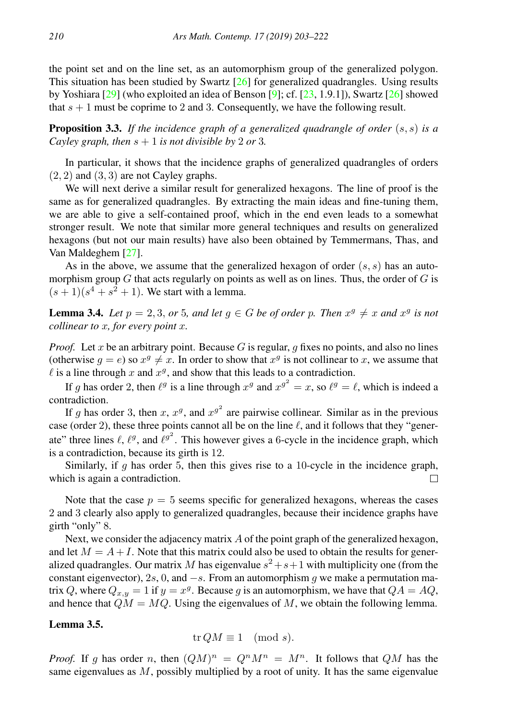the point set and on the line set, as an automorphism group of the generalized polygon. This situation has been studied by Swartz  $[26]$  for generalized quadrangles. Using results by Yoshiara  $[29]$  (who exploited an idea of Benson  $[9]$ ; cf.  $[23, 1.9.1]$  $[23, 1.9.1]$ ), Swartz  $[26]$  showed that  $s + 1$  must be coprime to 2 and 3. Consequently, we have the following result.

<span id="page-7-2"></span>Proposition 3.3. *If the incidence graph of a generalized quadrangle of order* (s, s) *is a Cayley graph, then*  $s + 1$  *is not divisible by* 2 *or* 3*.* 

In particular, it shows that the incidence graphs of generalized quadrangles of orders  $(2, 2)$  and  $(3, 3)$  are not Cayley graphs.

We will next derive a similar result for generalized hexagons. The line of proof is the same as for generalized quadrangles. By extracting the main ideas and fine-tuning them, we are able to give a self-contained proof, which in the end even leads to a somewhat stronger result. We note that similar more general techniques and results on generalized hexagons (but not our main results) have also been obtained by Temmermans, Thas, and Van Maldeghem [\[27\]](#page-19-0).

As in the above, we assume that the generalized hexagon of order  $(s, s)$  has an automorphism group  $G$  that acts regularly on points as well as on lines. Thus, the order of  $G$  is  $(s+1)(s<sup>4</sup>+s<sup>2</sup>+1)$ . We start with a lemma.

<span id="page-7-0"></span>**Lemma 3.4.** Let  $p = 2, 3, or 5, and let  $g \in G$  be of order p. Then  $x^g \neq x$  and  $x^g$  is not$ *collinear to* x*, for every point* x*.*

*Proof.* Let x be an arbitrary point. Because G is regular, q fixes no points, and also no lines (otherwise  $g = e$ ) so  $x^g \neq x$ . In order to show that  $x^g$  is not collinear to x, we assume that  $\ell$  is a line through x and  $x^g$ , and show that this leads to a contradiction.

If g has order 2, then  $\ell^g$  is a line through  $x^g$  and  $x^{g^2} = x$ , so  $\ell^g = \ell$ , which is indeed a contradiction.

If g has order 3, then x,  $x^g$ , and  $x^{g^2}$  are pairwise collinear. Similar as in the previous case (order 2), these three points cannot all be on the line  $\ell$ , and it follows that they "generate" three lines  $\ell$ ,  $\ell^g$ , and  $\ell^{g^2}$ . This however gives a 6-cycle in the incidence graph, which is a contradiction, because its girth is 12.

Similarly, if  $q$  has order 5, then this gives rise to a 10-cycle in the incidence graph, which is again a contradiction. П

Note that the case  $p = 5$  seems specific for generalized hexagons, whereas the cases 2 and 3 clearly also apply to generalized quadrangles, because their incidence graphs have girth "only" 8.

Next, we consider the adjacency matrix A of the point graph of the generalized hexagon, and let  $M = A + I$ . Note that this matrix could also be used to obtain the results for generalized quadrangles. Our matrix M has eigenvalue  $s^2 + s + 1$  with multiplicity one (from the constant eigenvector), 2s, 0, and  $-s$ . From an automorphism g we make a permutation matrix Q, where  $Q_{x,y} = 1$  if  $y = x^g$ . Because g is an automorphism, we have that  $QA = AQ$ , and hence that  $QM = MQ$ . Using the eigenvalues of M, we obtain the following lemma.

## <span id="page-7-1"></span>Lemma 3.5.

$$
\operatorname{tr} QM \equiv 1 \pmod{s}.
$$

*Proof.* If g has order n, then  $(QM)^n = Q^n M^n = M^n$ . It follows that  $QM$  has the same eigenvalues as  $M$ , possibly multiplied by a root of unity. It has the same eigenvalue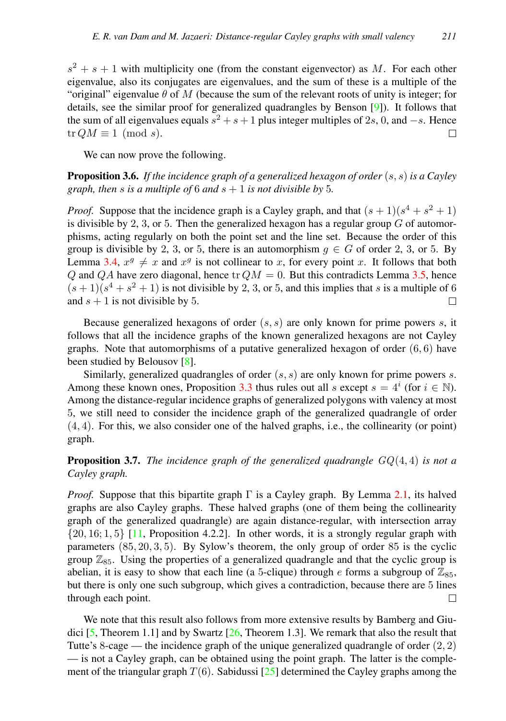$s^2 + s + 1$  with multiplicity one (from the constant eigenvector) as M. For each other eigenvalue, also its conjugates are eigenvalues, and the sum of these is a multiple of the "original" eigenvalue  $\theta$  of M (because the sum of the relevant roots of unity is integer; for details, see the similar proof for generalized quadrangles by Benson [\[9\]](#page-19-14)). It follows that the sum of all eigenvalues equals  $s^2 + s + 1$  plus integer multiples of 2s, 0, and  $-s$ . Hence  $tr QM \equiv 1 \pmod{s}$ .  $\Box$ 

We can now prove the following.

<span id="page-8-0"></span>Proposition 3.6. *If the incidence graph of a generalized hexagon of order* (s, s) *is a Cayley graph, then s is a multiple of* 6 *and*  $s + 1$  *is not divisible by* 5*.* 

*Proof.* Suppose that the incidence graph is a Cayley graph, and that  $(s + 1)(s^4 + s^2 + 1)$ is divisible by 2, 3, or 5. Then the generalized hexagon has a regular group  $G$  of automorphisms, acting regularly on both the point set and the line set. Because the order of this group is divisible by 2, 3, or 5, there is an automorphism  $g \in G$  of order 2, 3, or 5. By Lemma [3.4,](#page-7-0)  $x^g \neq x$  and  $x^g$  is not collinear to x, for every point x. It follows that both Q and QA have zero diagonal, hence tr  $QM = 0$ . But this contradicts Lemma [3.5,](#page-7-1) hence  $(s+1)(s<sup>4</sup>+s<sup>2</sup>+1)$  is not divisible by 2, 3, or 5, and this implies that s is a multiple of 6 and  $s + 1$  is not divisible by 5. П

Because generalized hexagons of order  $(s, s)$  are only known for prime powers s, it follows that all the incidence graphs of the known generalized hexagons are not Cayley graphs. Note that automorphisms of a putative generalized hexagon of order  $(6, 6)$  have been studied by Belousov [\[8\]](#page-19-16).

Similarly, generalized quadrangles of order  $(s, s)$  are only known for prime powers s. Among these known ones, Proposition [3.3](#page-7-2) thus rules out all s except  $s = 4^i$  (for  $i \in \mathbb{N}$ ). Among the distance-regular incidence graphs of generalized polygons with valency at most 5, we still need to consider the incidence graph of the generalized quadrangle of order (4, 4). For this, we also consider one of the halved graphs, i.e., the collinearity (or point) graph.

<span id="page-8-1"></span>Proposition 3.7. *The incidence graph of the generalized quadrangle* GQ(4, 4) *is not a Cayley graph.*

*Proof.* Suppose that this bipartite graph  $\Gamma$  is a Cayley graph. By Lemma [2.1,](#page-2-1) its halved graphs are also Cayley graphs. These halved graphs (one of them being the collinearity graph of the generalized quadrangle) are again distance-regular, with intersection array  ${20, 16; 1, 5}$  [\[11,](#page-19-5) Proposition 4.2.2]. In other words, it is a strongly regular graph with parameters (85, 20, 3, 5). By Sylow's theorem, the only group of order 85 is the cyclic group  $\mathbb{Z}_{85}$ . Using the properties of a generalized quadrangle and that the cyclic group is abelian, it is easy to show that each line (a 5-clique) through  $e$  forms a subgroup of  $\mathbb{Z}_{85}$ , but there is only one such subgroup, which gives a contradiction, because there are 5 lines through each point.  $\Box$ 

We note that this result also follows from more extensive results by Bamberg and Giu-dici [\[5,](#page-18-3) Theorem 1.1] and by Swartz [\[26,](#page-19-12) Theorem 1.3]. We remark that also the result that Tutte's 8-cage — the incidence graph of the unique generalized quadrangle of order  $(2, 2)$ — is not a Cayley graph, can be obtained using the point graph. The latter is the complement of the triangular graph  $T(6)$ . Sabidussi [\[25\]](#page-19-9) determined the Cayley graphs among the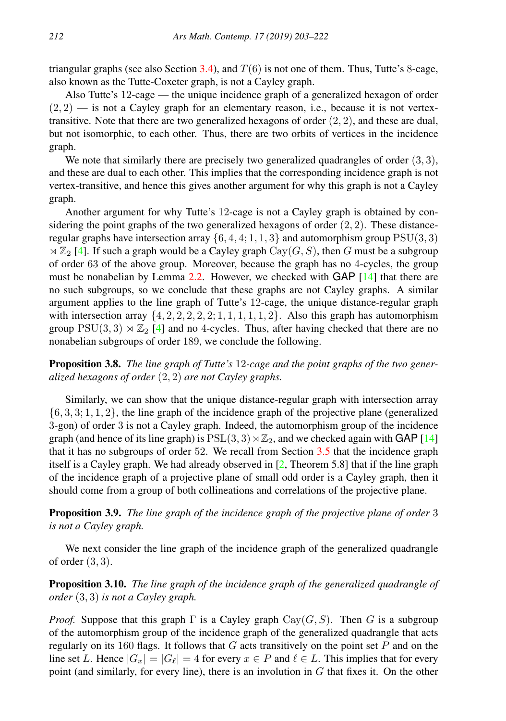triangular graphs (see also Section [3.4\)](#page-5-1), and  $T(6)$  is not one of them. Thus, Tutte's 8-cage, also known as the Tutte-Coxeter graph, is not a Cayley graph.

Also Tutte's 12-cage — the unique incidence graph of a generalized hexagon of order  $(2, 2)$  — is not a Cayley graph for an elementary reason, i.e., because it is not vertextransitive. Note that there are two generalized hexagons of order  $(2, 2)$ , and these are dual, but not isomorphic, to each other. Thus, there are two orbits of vertices in the incidence graph.

We note that similarly there are precisely two generalized quadrangles of order  $(3, 3)$ , and these are dual to each other. This implies that the corresponding incidence graph is not vertex-transitive, and hence this gives another argument for why this graph is not a Cayley graph.

Another argument for why Tutte's 12-cage is not a Cayley graph is obtained by considering the point graphs of the two generalized hexagons of order  $(2, 2)$ . These distanceregular graphs have intersection array  $\{6, 4, 4; 1, 1, 3\}$  and automorphism group  $PSU(3, 3)$  $\propto \mathbb{Z}_2$  [\[4\]](#page-18-4). If such a graph would be a Cayley graph Cay(G, S), then G must be a subgroup of order 63 of the above group. Moreover, because the graph has no 4-cycles, the group must be nonabelian by Lemma [2.2.](#page-2-0) However, we checked with GAP [\[14\]](#page-19-17) that there are no such subgroups, so we conclude that these graphs are not Cayley graphs. A similar argument applies to the line graph of Tutte's 12-cage, the unique distance-regular graph with intersection array  $\{4, 2, 2, 2, 2, 2, 1, 1, 1, 1, 1, 2\}$ . Also this graph has automorphism group  $PSU(3, 3) \rtimes \mathbb{Z}_2$  [\[4\]](#page-18-4) and no 4-cycles. Thus, after having checked that there are no nonabelian subgroups of order 189, we conclude the following.

<span id="page-9-1"></span>Proposition 3.8. *The line graph of Tutte's* 12*-cage and the point graphs of the two generalized hexagons of order* (2, 2) *are not Cayley graphs.*

Similarly, we can show that the unique distance-regular graph with intersection array  $\{6, 3, 3; 1, 1, 2\}$ , the line graph of the incidence graph of the projective plane (generalized 3-gon) of order 3 is not a Cayley graph. Indeed, the automorphism group of the incidence graph (and hence of its line graph) is  $PSL(3, 3) \rtimes \mathbb{Z}_2$ , and we checked again with GAP [\[14\]](#page-19-17) that it has no subgroups of order 52. We recall from Section [3.5](#page-5-0) that the incidence graph itself is a Cayley graph. We had already observed in [\[2,](#page-18-0) Theorem 5.8] that if the line graph of the incidence graph of a projective plane of small odd order is a Cayley graph, then it should come from a group of both collineations and correlations of the projective plane.

<span id="page-9-2"></span>Proposition 3.9. *The line graph of the incidence graph of the projective plane of order* 3 *is not a Cayley graph.*

We next consider the line graph of the incidence graph of the generalized quadrangle of order  $(3,3)$ .

<span id="page-9-0"></span>Proposition 3.10. *The line graph of the incidence graph of the generalized quadrangle of order* (3, 3) *is not a Cayley graph.*

*Proof.* Suppose that this graph  $\Gamma$  is a Cayley graph Cay( $G, S$ ). Then G is a subgroup of the automorphism group of the incidence graph of the generalized quadrangle that acts regularly on its 160 flags. It follows that  $G$  acts transitively on the point set P and on the line set L. Hence  $|G_x| = |G_\ell| = 4$  for every  $x \in P$  and  $\ell \in L$ . This implies that for every point (and similarly, for every line), there is an involution in  $G$  that fixes it. On the other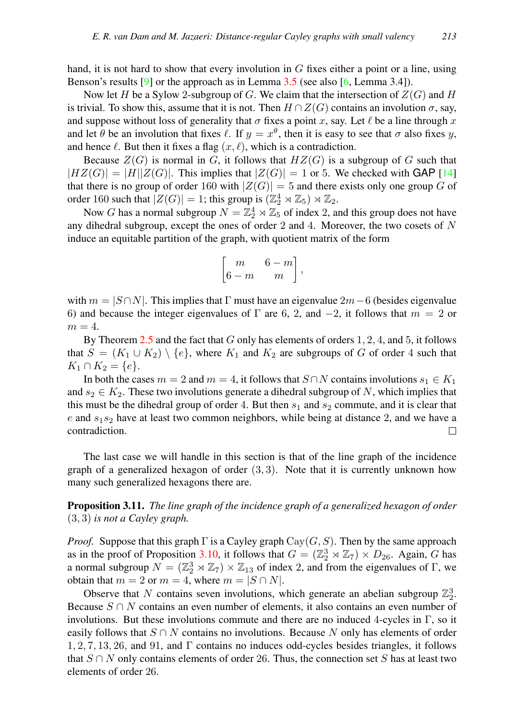hand, it is not hard to show that every involution in  $G$  fixes either a point or a line, using Benson's results  $[9]$  or the approach as in Lemma [3.5](#page-7-1) (see also  $[6]$ , Lemma 3.4]).

Now let H be a Sylow 2-subgroup of G. We claim that the intersection of  $Z(G)$  and H is trivial. To show this, assume that it is not. Then  $H \cap Z(G)$  contains an involution  $\sigma$ , say, and suppose without loss of generality that  $\sigma$  fixes a point x, say. Let  $\ell$  be a line through x and let  $\theta$  be an involution that fixes  $\ell$ . If  $y = x^{\theta}$ , then it is easy to see that  $\sigma$  also fixes y, and hence  $\ell$ . But then it fixes a flag  $(x, \ell)$ , which is a contradiction.

Because  $Z(G)$  is normal in G, it follows that  $HZ(G)$  is a subgroup of G such that  $|HZ(G)| = |H||Z(G)|$ . This implies that  $|Z(G)| = 1$  or 5. We checked with GAP [\[14\]](#page-19-17) that there is no group of order 160 with  $|Z(G)| = 5$  and there exists only one group G of order 160 such that  $|Z(G)| = 1$ ; this group is  $(\mathbb{Z}_2^4 \rtimes \mathbb{Z}_5) \rtimes \mathbb{Z}_2$ .

Now G has a normal subgroup  $N = \mathbb{Z}_2^4 \rtimes \mathbb{Z}_5$  of index 2, and this group does not have any dihedral subgroup, except the ones of order 2 and 4. Moreover, the two cosets of  $N$ induce an equitable partition of the graph, with quotient matrix of the form

$$
\begin{bmatrix} m & 6-m \\ 6-m & m \end{bmatrix},
$$

with  $m = |S \cap N|$ . This implies that Γ must have an eigenvalue  $2m-6$  (besides eigenvalue 6) and because the integer eigenvalues of  $\Gamma$  are 6, 2, and  $-2$ , it follows that  $m = 2$  or  $m=4$ .

By Theorem [2.5](#page-3-0) and the fact that  $G$  only has elements of orders 1, 2, 4, and 5, it follows that  $S = (K_1 \cup K_2) \setminus \{e\}$ , where  $K_1$  and  $K_2$  are subgroups of G of order 4 such that  $K_1 \cap K_2 = \{e\}.$ 

In both the cases  $m = 2$  and  $m = 4$ , it follows that  $S \cap N$  contains involutions  $s_1 \in K_1$ and  $s_2 \in K_2$ . These two involutions generate a dihedral subgroup of N, which implies that this must be the dihedral group of order 4. But then  $s_1$  and  $s_2$  commute, and it is clear that e and  $s_1s_2$  have at least two common neighbors, while being at distance 2, and we have a contradiction. □

The last case we will handle in this section is that of the line graph of the incidence graph of a generalized hexagon of order  $(3, 3)$ . Note that it is currently unknown how many such generalized hexagons there are.

<span id="page-10-0"></span>Proposition 3.11. *The line graph of the incidence graph of a generalized hexagon of order* (3, 3) *is not a Cayley graph.*

*Proof.* Suppose that this graph  $\Gamma$  is a Cayley graph  $Cay(G, S)$ . Then by the same approach as in the proof of Proposition [3.10,](#page-9-0) it follows that  $G = (\mathbb{Z}_2^3 \rtimes \mathbb{Z}_7) \times D_{26}$ . Again, G has a normal subgroup  $N = (\mathbb{Z}_2^3 \rtimes \mathbb{Z}_7) \times \mathbb{Z}_{13}$  of index 2, and from the eigenvalues of  $\Gamma$ , we obtain that  $m = 2$  or  $m = 4$ , where  $m = |S \cap N|$ .

Observe that N contains seven involutions, which generate an abelian subgroup  $\mathbb{Z}_2^3$ . Because  $S \cap N$  contains an even number of elements, it also contains an even number of involutions. But these involutions commute and there are no induced 4-cycles in Γ, so it easily follows that  $S \cap N$  contains no involutions. Because N only has elements of order 1, 2, 7, 13, 26, and 91, and Γ contains no induces odd-cycles besides triangles, it follows that  $S \cap N$  only contains elements of order 26. Thus, the connection set S has at least two elements of order 26.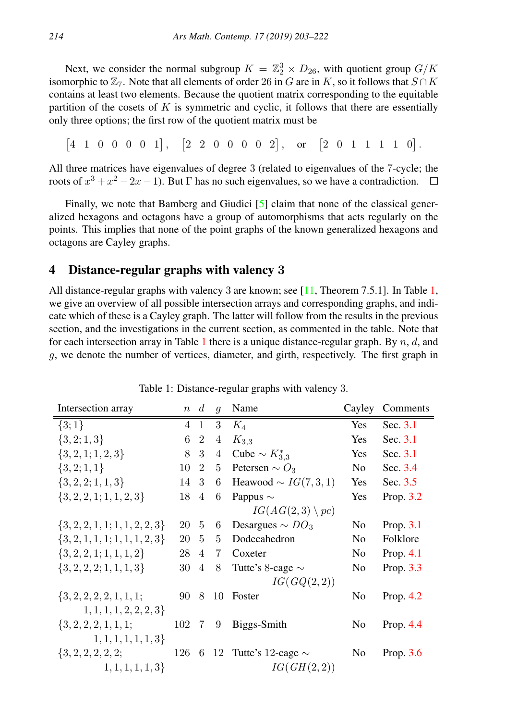Next, we consider the normal subgroup  $K = \mathbb{Z}_2^3 \times D_{26}$ , with quotient group  $G/K$ isomorphic to  $\mathbb{Z}_7$ . Note that all elements of order 26 in G are in K, so it follows that  $S \cap K$ contains at least two elements. Because the quotient matrix corresponding to the equitable partition of the cosets of  $K$  is symmetric and cyclic, it follows that there are essentially only three options; the first row of the quotient matrix must be

 $\begin{vmatrix} 4 & 1 & 0 & 0 & 0 & 0 & 1 \end{vmatrix}$ ,  $\begin{vmatrix} 2 & 2 & 0 & 0 & 0 & 0 & 2 \end{vmatrix}$ , or  $\begin{vmatrix} 2 & 0 & 1 & 1 & 1 & 1 & 0 \end{vmatrix}$ .

All three matrices have eigenvalues of degree 3 (related to eigenvalues of the 7-cycle; the roots of  $x^3 + x^2 - 2x - 1$ ). But  $\Gamma$  has no such eigenvalues, so we have a contradiction.

Finally, we note that Bamberg and Giudici [\[5\]](#page-18-3) claim that none of the classical generalized hexagons and octagons have a group of automorphisms that acts regularly on the points. This implies that none of the point graphs of the known generalized hexagons and octagons are Cayley graphs.

## <span id="page-11-0"></span>4 Distance-regular graphs with valency 3

All distance-regular graphs with valency 3 are known; see [\[11,](#page-19-5) Theorem 7.5.1]. In Table [1,](#page-11-1) we give an overview of all possible intersection arrays and corresponding graphs, and indicate which of these is a Cayley graph. The latter will follow from the results in the previous section, and the investigations in the current section, as commented in the table. Note that for each intersection array in Table [1](#page-11-1) there is a unique distance-regular graph. By  $n, d$ , and g, we denote the number of vertices, diameter, and girth, respectively. The first graph in

| Intersection array                 | $\,n$ | $\boldsymbol{d}$ | $\mathfrak{g}$ | Name                       | Cayley         | Comments    |
|------------------------------------|-------|------------------|----------------|----------------------------|----------------|-------------|
| $\{3;1\}$                          | 4     | 1                | 3              | $K_4$                      | Yes            | Sec. 3.1    |
| $\{3,2;1,3\}$                      | 6     | $\overline{2}$   | 4              | $K_{3,3}$                  | Yes            | Sec. 3.1    |
| $\{3, 2, 1; 1, 2, 3\}$             | 8     | 3                | 4              | Cube $\sim K_{3.3}^*$      | Yes            | Sec. 3.1    |
| $\{3,2;1,1\}$                      | 10    | $\mathfrak{D}$   | 5              | Petersen $\sim O_3$        | N <sub>o</sub> | Sec. 3.4    |
| $\{3, 2, 2; 1, 1, 3\}$             | 14 3  |                  | 6              | Heawood $\sim IG(7,3,1)$   | Yes            | Sec. 3.5    |
| $\{3, 2, 2, 1; 1, 1, 2, 3\}$       | 18    | $\overline{4}$   | 6              | Pappus $\sim$              | Yes            | Prop. 3.2   |
|                                    |       |                  |                | $IG(AG(2,3) \setminus pc)$ |                |             |
| $\{3, 2, 2, 1, 1; 1, 1, 2, 2, 3\}$ | 20 5  |                  | 6              | Desargues $\sim DO_3$      | N <sub>0</sub> | Prop. 3.1   |
| $\{3, 2, 1, 1, 1, 1, 1, 1, 2, 3\}$ | 20    | 5                | 5              | Dodecahedron               | N <sub>0</sub> | Folklore    |
| $\{3, 2, 2, 1; 1, 1, 1, 2\}$       | 28    | 4                | 7              | Coxeter                    | N <sub>0</sub> | Prop. $4.1$ |
| $\{3, 2, 2, 2, 1, 1, 1, 3\}$       | 30    | $\overline{4}$   | 8              | Tutte's 8-cage $\sim$      | N <sub>0</sub> | Prop. 3.3   |
|                                    |       |                  |                | IG(GQ(2,2))                |                |             |
| $\{3, 2, 2, 2, 2, 1, 1, 1;$        | 90    | 8                | 10             | Foster                     | No             | Prop. $4.2$ |
| 1, 1, 1, 1, 2, 2, 2, 3             |       |                  |                |                            |                |             |
| $\{3, 2, 2, 2, 1, 1, 1;$           | 102 7 |                  | - 9            | Biggs-Smith                | N <sub>0</sub> | Prop. $4.4$ |
| 1, 1, 1, 1, 1, 1, 3                |       |                  |                |                            |                |             |
| $\{3, 2, 2, 2, 2, 2, \ldots\}$     | 126 6 |                  |                | 12 Tutte's 12-cage $\sim$  | N <sub>0</sub> | Prop. $3.6$ |
| $1, 1, 1, 1, 1, 3\}$               |       |                  |                | IG(GH(2,2))                |                |             |

<span id="page-11-1"></span>Table 1: Distance-regular graphs with valency 3.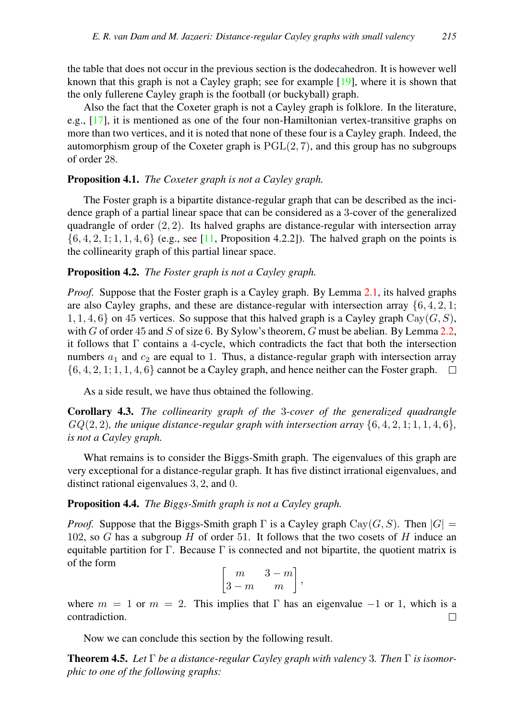the table that does not occur in the previous section is the dodecahedron. It is however well known that this graph is not a Cayley graph; see for example  $[19]$ , where it is shown that the only fullerene Cayley graph is the football (or buckyball) graph.

Also the fact that the Coxeter graph is not a Cayley graph is folklore. In the literature, e.g.,  $[17]$ , it is mentioned as one of the four non-Hamiltonian vertex-transitive graphs on more than two vertices, and it is noted that none of these four is a Cayley graph. Indeed, the automorphism group of the Coxeter graph is  $PGL(2, 7)$ , and this group has no subgroups of order 28.

## <span id="page-12-0"></span>Proposition 4.1. *The Coxeter graph is not a Cayley graph.*

The Foster graph is a bipartite distance-regular graph that can be described as the incidence graph of a partial linear space that can be considered as a 3-cover of the generalized quadrangle of order  $(2, 2)$ . Its halved graphs are distance-regular with intersection array  $\{6, 4, 2, 1, 1, 1, 4, 6\}$  (e.g., see [\[11,](#page-19-5) Proposition 4.2.2]). The halved graph on the points is the collinearity graph of this partial linear space.

## <span id="page-12-1"></span>Proposition 4.2. *The Foster graph is not a Cayley graph.*

*Proof.* Suppose that the Foster graph is a Cayley graph. By Lemma [2.1,](#page-2-1) its halved graphs are also Cayley graphs, and these are distance-regular with intersection array  $\{6, 4, 2, 1\}$ ; 1, 1, 4, 6} on 45 vertices. So suppose that this halved graph is a Cayley graph  $Cav(G, S)$ , with G of order 45 and S of size 6. By Sylow's theorem, G must be abelian. By Lemma [2.2,](#page-2-0) it follows that Γ contains a 4-cycle, which contradicts the fact that both the intersection numbers  $a_1$  and  $c_2$  are equal to 1. Thus, a distance-regular graph with intersection array  $\{6, 4, 2, 1, 1, 1, 4, 6\}$  cannot be a Cayley graph, and hence neither can the Foster graph.  $\Box$ 

As a side result, we have thus obtained the following.

<span id="page-12-3"></span>Corollary 4.3. *The collinearity graph of the* 3*-cover of the generalized quadrangle*  $GQ(2, 2)$ *, the unique distance-regular graph with intersection array*  $\{6, 4, 2, 1, 1, 1, 4, 6\}$ *, is not a Cayley graph.*

What remains is to consider the Biggs-Smith graph. The eigenvalues of this graph are very exceptional for a distance-regular graph. It has five distinct irrational eigenvalues, and distinct rational eigenvalues 3, 2, and 0.

#### <span id="page-12-2"></span>Proposition 4.4. *The Biggs-Smith graph is not a Cayley graph.*

*Proof.* Suppose that the Biggs-Smith graph  $\Gamma$  is a Cayley graph Cay(G, S). Then  $|G|$  = 102, so  $G$  has a subgroup  $H$  of order 51. It follows that the two cosets of  $H$  induce an equitable partition for Γ. Because Γ is connected and not bipartite, the quotient matrix is of the form

$$
\begin{bmatrix} m & 3-m \\ 3-m & m \end{bmatrix}
$$

,

where  $m = 1$  or  $m = 2$ . This implies that Γ has an eigenvalue  $-1$  or 1, which is a contradiction.  $\Box$ 

Now we can conclude this section by the following result.

Theorem 4.5. *Let* Γ *be a distance-regular Cayley graph with valency* 3*. Then* Γ *is isomorphic to one of the following graphs:*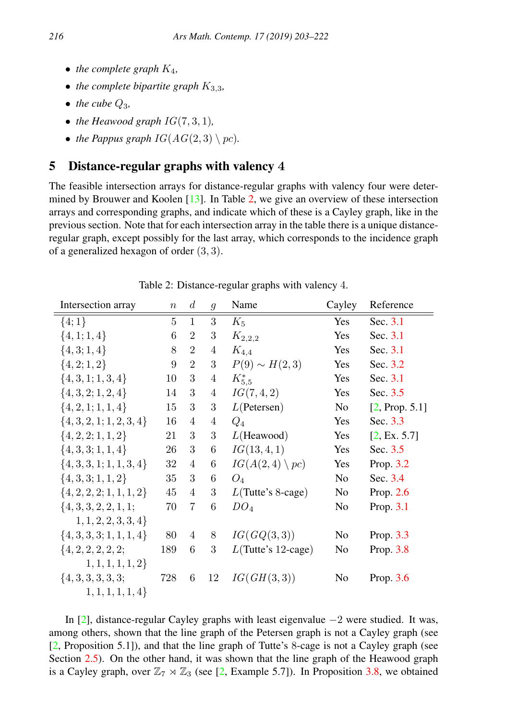- *the complete graph*  $K_4$ ,
- *the complete bipartite graph*  $K_{3,3}$ *,*
- $\bullet$  *the cube*  $Q_3$ *,*
- *the Heawood graph*  $IG(7, 3, 1)$ *,*
- *the Pappus graph*  $IG(AG(2, 3) \setminus pc)$ *.*

# <span id="page-13-0"></span>5 Distance-regular graphs with valency 4

The feasible intersection arrays for distance-regular graphs with valency four were determined by Brouwer and Koolen [\[13\]](#page-19-6). In Table [2,](#page-13-1) we give an overview of these intersection arrays and corresponding graphs, and indicate which of these is a Cayley graph, like in the previous section. Note that for each intersection array in the table there is a unique distanceregular graph, except possibly for the last array, which corresponds to the incidence graph of a generalized hexagon of order (3, 3).

| Intersection array           | $\boldsymbol{n}$ | $\overline{d}$ | $\mathfrak{g}$ | Name                     | Cayley         | Reference      |
|------------------------------|------------------|----------------|----------------|--------------------------|----------------|----------------|
| $\{4;1\}$                    | 5                | $\mathbf{1}$   | 3              | $K_5$                    | Yes            | Sec. 3.1       |
| $\{4, 1; 1, 4\}$             | 6                | $\overline{2}$ | 3              | $K_{2,2,2}$              | Yes            | Sec. 3.1       |
| $\{4,3;1,4\}$                | 8                | $\overline{2}$ | 4              | $K_{4,4}$                | Yes            | Sec. 3.1       |
| $\{4,2;1,2\}$                | 9                | $\overline{2}$ | 3              | $P(9) \sim H(2,3)$       | Yes            | Sec. 3.2       |
| $\{4,3,1;1,3,4\}$            | 10               | $\sqrt{3}$     | $\overline{4}$ | $K_{5.5}^*$              | Yes            | Sec. 3.1       |
| $\{4,3,2;1,2,4\}$            | 14               | 3              | $\overline{4}$ | IG(7, 4, 2)              | Yes            | Sec. 3.5       |
| $\{4, 2, 1; 1, 1, 4\}$       | 15               | 3              | 3              | L(Petersen)              | N <sub>0</sub> | [2, Prop. 5.1] |
| $\{4, 3, 2, 1; 1, 2, 3, 4\}$ | 16               | $\overline{4}$ | 4              | $Q_4$                    | Yes            | Sec. 3.3       |
| $\{4, 2, 2; 1, 1, 2\}$       | 21               | 3              | 3              | $L$ (Heawood)            | Yes            | [2, Ex. 5.7]   |
| $\{4,3,3;1,1,4\}$            | 26               | 3              | 6              | IG(13, 4, 1)             | Yes            | Sec. 3.5       |
| $\{4,3,3,1;1,1,3,4\}$        | 32               | $\overline{4}$ | 6              | $IG(A(2,4)\setminus pc)$ | Yes            | Prop. 3.2      |
| $\{4,3,3;1,1,2\}$            | 35               | 3              | 6              | $O_4$                    | No             | Sec. 3.4       |
| $\{4, 2, 2, 2, 1, 1, 1, 2\}$ | 45               | $\overline{4}$ | 3              | $L(Tutte's 8-cage)$      | N <sub>0</sub> | Prop. 2.6      |
| $\{4,3,3,2,2,1,1;$           | 70               | $\overline{7}$ | 6              | DO <sub>4</sub>          | N <sub>0</sub> | Prop. 3.1      |
| 1, 1, 2, 2, 3, 3, 4          |                  |                |                |                          |                |                |
| $\{4,3,3,3;1,1,1,4\}$        | 80               | $\overline{4}$ | 8              | IG(GQ(3,3))              | N <sub>0</sub> | Prop. 3.3      |
| $\{4, 2, 2, 2, 2, 2,$        | 189              | 6              | 3              | $L(Tutte's 12-cage)$     | No             | Prop. 3.8      |
| $1, 1, 1, 1, 1, 2\}$         |                  |                |                |                          |                |                |
| $\{4, 3, 3, 3, 3, 3;$        | 728              | 6              | 12             | IG(GH(3,3))              | N <sub>0</sub> | Prop. $3.6$    |
| 1, 1, 1, 1, 1, 4             |                  |                |                |                          |                |                |

<span id="page-13-1"></span>Table 2: Distance-regular graphs with valency 4.

In [\[2\]](#page-18-0), distance-regular Cayley graphs with least eigenvalue −2 were studied. It was, among others, shown that the line graph of the Petersen graph is not a Cayley graph (see [\[2,](#page-18-0) Proposition 5.1]), and that the line graph of Tutte's 8-cage is not a Cayley graph (see Section [2.5\)](#page-3-1). On the other hand, it was shown that the line graph of the Heawood graph is a Cayley graph, over  $\mathbb{Z}_7 \rtimes \mathbb{Z}_3$  (see [\[2,](#page-18-0) Example 5.7]). In Proposition [3.8,](#page-9-1) we obtained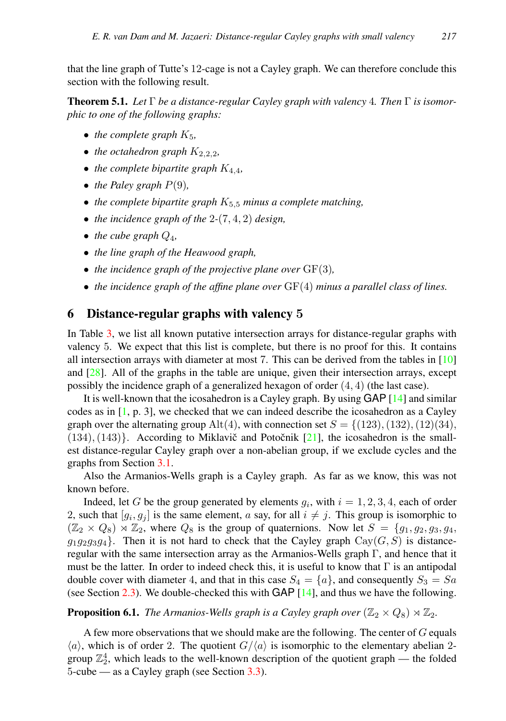that the line graph of Tutte's 12-cage is not a Cayley graph. We can therefore conclude this section with the following result.

Theorem 5.1. *Let* Γ *be a distance-regular Cayley graph with valency* 4*. Then* Γ *is isomorphic to one of the following graphs:*

- *the complete graph*  $K_5$ ,
- *the octahedron graph*  $K_{2,2,2}$ *,*
- *the complete bipartite graph*  $K_{4,4}$ *,*
- *the Paley graph*  $P(9)$ *,*
- *the complete bipartite graph*  $K_{5,5}$  *minus a complete matching,*
- *the incidence graph of the* 2*-*(7, 4, 2) *design,*
- *the cube graph*  $Q_4$ ,
- *the line graph of the Heawood graph,*
- *the incidence graph of the projective plane over* GF(3)*,*
- *the incidence graph of the affine plane over* GF(4) *minus a parallel class of lines.*

# <span id="page-14-0"></span>6 Distance-regular graphs with valency 5

In Table [3,](#page-15-0) we list all known putative intersection arrays for distance-regular graphs with valency 5. We expect that this list is complete, but there is no proof for this. It contains all intersection arrays with diameter at most 7. This can be derived from the tables in [\[10\]](#page-19-20) and  $[28]$ . All of the graphs in the table are unique, given their intersection arrays, except possibly the incidence graph of a generalized hexagon of order  $(4, 4)$  (the last case).

It is well-known that the icosahedron is a Cayley graph. By using GAP [\[14\]](#page-19-17) and similar codes as in [\[1,](#page-18-6) p. 3], we checked that we can indeed describe the icosahedron as a Cayley graph over the alternating group Alt(4), with connection set  $S = \{(123), (132), (12)(34),$  $(134)$ ,  $(143)$ . According to Miklavič and Potočnik [[21\]](#page-19-3), the icosahedron is the smallest distance-regular Cayley graph over a non-abelian group, if we exclude cycles and the graphs from Section [3.1.](#page-4-1)

Also the Armanios-Wells graph is a Cayley graph. As far as we know, this was not known before.

Indeed, let G be the group generated by elements  $g_i$ , with  $i = 1, 2, 3, 4$ , each of order 2, such that  $[g_i, g_j]$  is the same element, a say, for all  $i \neq j$ . This group is isomorphic to (Z<sup>2</sup> × Q8) o Z2, where Q<sup>8</sup> is the group of quaternions. Now let S = {g1, g2, g3, g4,  $g_1g_2g_3g_4$ . Then it is not hard to check that the Cayley graph Cay( $G, S$ ) is distanceregular with the same intersection array as the Armanios-Wells graph  $\Gamma$ , and hence that it must be the latter. In order to indeed check this, it is useful to know that  $\Gamma$  is an antipodal double cover with diameter 4, and that in this case  $S_4 = \{a\}$ , and consequently  $S_3 = Sa$ (see Section [2.3\)](#page-3-2). We double-checked this with GAP [\[14\]](#page-19-17), and thus we have the following.

#### <span id="page-14-1"></span>**Proposition 6.1.** *The Armanios-Wells graph is a Cayley graph over*  $(\mathbb{Z}_2 \times Q_8) \rtimes \mathbb{Z}_2$ *.*

A few more observations that we should make are the following. The center of  $G$  equals  $\langle a \rangle$ , which is of order 2. The quotient  $G/\langle a \rangle$  is isomorphic to the elementary abelian 2group  $\mathbb{Z}_2^4$ , which leads to the well-known description of the quotient graph — the folded 5-cube — as a Cayley graph (see Section [3.3\)](#page-4-3).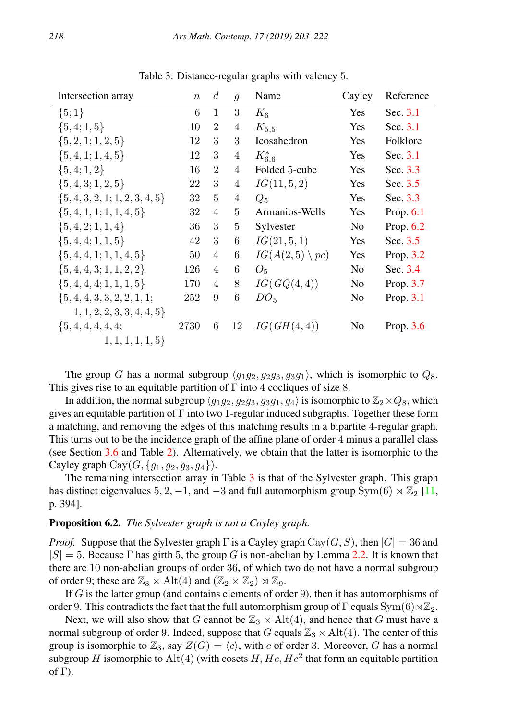| Intersection array             | $\boldsymbol{n}$ | $\overline{d}$ | $\mathfrak{g}$ | Name                      | Cayley         | Reference   |
|--------------------------------|------------------|----------------|----------------|---------------------------|----------------|-------------|
| $\{5;1\}$                      | 6                | 1              | 3              | $K_6$                     | Yes            | Sec. 3.1    |
| $\{5,4;1,5\}$                  | 10               | $\overline{2}$ | 4              | $K_{5,5}$                 | Yes            | Sec. 3.1    |
| $\{5, 2, 1; 1, 2, 5\}$         | 12               | 3              | 3              | <b>Icosahedron</b>        | Yes            | Folklore    |
| $\{5,4,1;1,4,5\}$              | 12               | 3              | $\overline{4}$ | $K_{6.6}^*$               | Yes            | Sec. 3.1    |
| $\{5,4;1,2\}$                  | 16               | $\overline{2}$ | 4              | Folded 5-cube             | Yes            | Sec. 3.3    |
| $\{5,4,3;1,2,5\}$              | 22               | 3              | $\overline{4}$ | IG(11, 5, 2)              | Yes            | Sec. 3.5    |
| $\{5,4,3,2,1;1,2,3,4,5\}$      | 32               | 5              | 4              | $Q_5$                     | Yes            | Sec. 3.3    |
| $\{5,4,1,1;1,1,4,5\}$          | 32               | 4              | 5              | Armanios-Wells            | Yes            | Prop. $6.1$ |
| $\{5,4,2;1,1,4\}$              | 36               | 3              | 5              | Sylvester                 | N <sub>0</sub> | Prop. $6.2$ |
| $\{5,4,4;1,1,5\}$              | 42               | 3              | 6              | IG(21, 5, 1)              | Yes            | Sec. 3.5    |
| $\{5,4,4,1;1,1,4,5\}$          | 50               | 4              | 6              | $IG(A(2,5) \setminus pc)$ | Yes            | Prop. 3.2   |
| $\{5,4,4,3;1,1,2,2\}$          | 126              | 4              | 6              | $O_5$                     | N <sub>o</sub> | Sec. 3.4    |
| $\{5,4,4,4;1,1,1,5\}$          | 170              | 4              | 8              | IG(GQ(4,4))               | N <sub>0</sub> | Prop. 3.7   |
| $\{5, 4, 4, 3, 3, 2, 2, 1, 1;$ | 252              | 9              | 6              | $DO_{5}$                  | No             | Prop. 3.1   |
| 1, 1, 2, 2, 3, 3, 4, 4, 5      |                  |                |                |                           |                |             |
| $\{5, 4, 4, 4, 4, 4,$          | 2730             | 6              | 12             | IG(GH(4,4))               | No             | Prop. $3.6$ |
| $1, 1, 1, 1, 1, 5\}$           |                  |                |                |                           |                |             |

<span id="page-15-0"></span>Table 3: Distance-regular graphs with valency 5.

The group G has a normal subgroup  $\langle q_1q_2, q_2q_3, q_3q_1 \rangle$ , which is isomorphic to  $Q_8$ . This gives rise to an equitable partition of  $\Gamma$  into 4 cocliques of size 8.

In addition, the normal subgroup  $\langle q_1q_2, q_2q_3, q_3q_1, q_4 \rangle$  is isomorphic to  $\mathbb{Z}_2\times Q_8$ , which gives an equitable partition of  $\Gamma$  into two 1-regular induced subgraphs. Together these form a matching, and removing the edges of this matching results in a bipartite 4-regular graph. This turns out to be the incidence graph of the affine plane of order 4 minus a parallel class (see Section [3.6](#page-6-2) and Table [2\)](#page-13-1). Alternatively, we obtain that the latter is isomorphic to the Cayley graph  $Cay(G, \{g_1, g_2, g_3, g_4\})$ .

The remaining intersection array in Table  $3$  is that of the Sylvester graph. This graph has distinct eigenvalues 5, 2, -1, and -3 and full automorphism group  $Sym(6) \rtimes \mathbb{Z}_2$  [\[11,](#page-19-5) p. 394].

#### <span id="page-15-1"></span>Proposition 6.2. *The Sylvester graph is not a Cayley graph.*

*Proof.* Suppose that the Sylvester graph  $\Gamma$  is a Cayley graph Cay( $G, S$ ), then  $|G| = 36$  and  $|S| = 5$ . Because Γ has girth 5, the group G is non-abelian by Lemma [2.2.](#page-2-0) It is known that there are 10 non-abelian groups of order 36, of which two do not have a normal subgroup of order 9; these are  $\mathbb{Z}_3 \times Alt(4)$  and  $(\mathbb{Z}_2 \times \mathbb{Z}_2) \rtimes \mathbb{Z}_9$ .

If  $G$  is the latter group (and contains elements of order 9), then it has automorphisms of order 9. This contradicts the fact that the full automorphism group of  $\Gamma$  equals  $\text{Sym}(6) \rtimes \mathbb{Z}_2$ .

Next, we will also show that G cannot be  $\mathbb{Z}_3 \times Alt(4)$ , and hence that G must have a normal subgroup of order 9. Indeed, suppose that G equals  $\mathbb{Z}_3 \times Alt(4)$ . The center of this group is isomorphic to  $\mathbb{Z}_3$ , say  $Z(G) = \langle c \rangle$ , with c of order 3. Moreover, G has a normal subgroup H isomorphic to Alt(4) (with cosets H,  $Hc$ ,  $He<sup>2</sup>$  that form an equitable partition of Γ).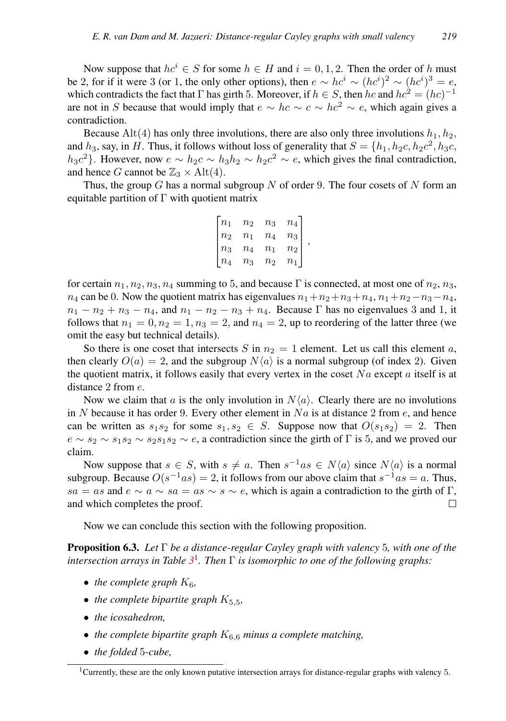Now suppose that  $hc^i \in S$  for some  $h \in H$  and  $i = 0, 1, 2$ . Then the order of h must be 2, for if it were 3 (or 1, the only other options), then  $e \sim h c^i \sim (h c^i)^2 \sim (h c^i)^3 = e$ , which contradicts the fact that  $\Gamma$  has girth 5. Moreover, if  $h \in S$ , then  $hc$  and  $hc^2 = (hc)^{-1}$ are not in S because that would imply that  $e \sim hc \sim c \sim hc^2 \sim e$ , which again gives a contradiction.

Because Alt(4) has only three involutions, there are also only three involutions  $h_1, h_2$ , and  $h_3$ , say, in H. Thus, it follows without loss of generality that  $S = \{h_1, h_2c, h_2c^2, h_3c,$  $h_3c^2$ . However, now  $e \sim h_2c \sim h_3h_2 \sim h_2c^2 \sim e$ , which gives the final contradiction, and hence G cannot be  $\mathbb{Z}_3 \times$  Alt(4).

Thus, the group G has a normal subgroup N of order 9. The four cosets of N form an equitable partition of  $\Gamma$  with quotient matrix

$$
\begin{bmatrix} n_1 & n_2 & n_3 & n_4 \\ n_2 & n_1 & n_4 & n_3 \\ n_3 & n_4 & n_1 & n_2 \\ n_4 & n_3 & n_2 & n_1 \end{bmatrix},
$$

for certain  $n_1, n_2, n_3, n_4$  summing to 5, and because Γ is connected, at most one of  $n_2, n_3$ ,  $n_4$  can be 0. Now the quotient matrix has eigenvalues  $n_1+n_2+n_3+n_4$ ,  $n_1+n_2-n_3-n_4$ ,  $n_1 - n_2 + n_3 - n_4$ , and  $n_1 - n_2 - n_3 + n_4$ . Because Γ has no eigenvalues 3 and 1, it follows that  $n_1 = 0, n_2 = 1, n_3 = 2$ , and  $n_4 = 2$ , up to reordering of the latter three (we omit the easy but technical details).

So there is one coset that intersects S in  $n_2 = 1$  element. Let us call this element a, then clearly  $O(a) = 2$ , and the subgroup  $N\langle a \rangle$  is a normal subgroup (of index 2). Given the quotient matrix, it follows easily that every vertex in the coset  $Na$  except a itself is at distance 2 from  $e$ .

Now we claim that a is the only involution in  $N\langle a \rangle$ . Clearly there are no involutions in N because it has order 9. Every other element in  $Na$  is at distance 2 from  $e$ , and hence can be written as  $s_1s_2$  for some  $s_1, s_2 \in S$ . Suppose now that  $O(s_1s_2) = 2$ . Then  $e \sim s_2 \sim s_1 s_2 \sim s_2 s_1 s_2 \sim e$ , a contradiction since the girth of  $\Gamma$  is 5, and we proved our claim.

Now suppose that  $s \in S$ , with  $s \neq a$ . Then  $s^{-1}as \in N\langle a \rangle$  since  $N\langle a \rangle$  is a normal subgroup. Because  $O(s^{-1}as) = 2$ , it follows from our above claim that  $s^{-1}as = a$ . Thus, sa = as and  $e \sim a \sim sa = as \sim s \sim e$ , which is again a contradiction to the girth of Γ, and which completes the proof. П

Now we can conclude this section with the following proposition.

Proposition 6.3. *Let* Γ *be a distance-regular Cayley graph with valency* 5*, with one of the intersection arrays in Table [3](#page-15-0)* 1 *. Then* Γ *is isomorphic to one of the following graphs:*

- *the complete graph*  $K_6$ *,*
- *the complete bipartite graph*  $K_{5,5}$ *,*
- *the icosahedron,*
- *the complete bipartite graph*  $K_{6,6}$  *minus a complete matching,*
- *the folded* 5*-cube,*

<sup>&</sup>lt;sup>1</sup>Currently, these are the only known putative intersection arrays for distance-regular graphs with valency 5.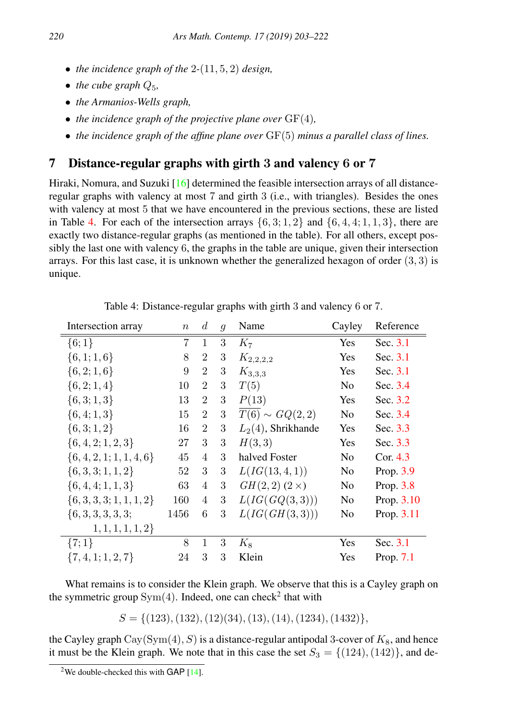- *the incidence graph of the* 2*-*(11, 5, 2) *design,*
- *the cube graph*  $Q_5$ ,
- *the Armanios-Wells graph,*
- *the incidence graph of the projective plane over* GF(4)*,*
- *the incidence graph of the affine plane over* GF(5) *minus a parallel class of lines.*

# 7 Distance-regular graphs with girth 3 and valency 6 or 7

Hiraki, Nomura, and Suzuki [\[16\]](#page-19-21) determined the feasible intersection arrays of all distanceregular graphs with valency at most 7 and girth 3 (i.e., with triangles). Besides the ones with valency at most 5 that we have encountered in the previous sections, these are listed in Table [4.](#page-17-0) For each of the intersection arrays  $\{6, 3; 1, 2\}$  and  $\{6, 4, 4; 1, 1, 3\}$ , there are exactly two distance-regular graphs (as mentioned in the table). For all others, except possibly the last one with valency 6, the graphs in the table are unique, given their intersection arrays. For this last case, it is unknown whether the generalized hexagon of order  $(3, 3)$  is unique.

| Intersection array           | $\, n$ | d              | $\mathfrak{g}$ | Name                           | Cayley         | Reference   |
|------------------------------|--------|----------------|----------------|--------------------------------|----------------|-------------|
| $\{6;1\}$                    | 7      | $\mathbf{1}$   | 3              | $K_7$                          | Yes            | Sec. 3.1    |
| $\{6, 1; 1, 6\}$             | 8      | $\overline{2}$ | 3              | $K_{2,2,2,2}$                  | Yes            | Sec. 3.1    |
| $\{6, 2; 1, 6\}$             | 9      | $\overline{2}$ | 3              | $K_{3,3,3}$                    | Yes            | Sec. 3.1    |
| $\{6, 2; 1, 4\}$             | 10     | $\overline{2}$ | 3              | T(5)                           | No             | Sec. 3.4    |
| $\{6,3;1,3\}$                | 13     | $\overline{2}$ | 3              | P(13)                          | Yes            | Sec. 3.2    |
| $\{6,4;1,3\}$                | 15     | $\overline{2}$ | 3              | $\overline{T(6)} \sim GQ(2,2)$ | N <sub>0</sub> | Sec. 3.4    |
| $\{6,3;1,2\}$                | 16     | $\mathfrak{D}$ | 3              | $L_2(4)$ , Shrikhande          | Yes            | Sec. 3.3    |
| $\{6, 4, 2; 1, 2, 3\}$       | 27     | 3              | 3              | H(3,3)                         | Yes            | Sec. 3.3    |
| $\{6,4,2,1;1,1,4,6\}$        | 45     | 4              | 3              | halved Foster                  | No             | Cor. $4.3$  |
| $\{6,3,3;1,1,2\}$            | 52     | 3              | 3              | L(IG(13, 4, 1))                | No             | Prop. 3.9   |
| $\{6,4,4;1,1,3\}$            | 63     | 4              | 3              | $GH(2,2)$ $(2 \times)$         | No             | Prop. 3.8   |
| $\{6, 3, 3, 3, 1, 1, 1, 2\}$ | 160    | 4              | 3              | L(IG(GQ(3,3)))                 | No             | Prop. 3.10  |
| $\{6, 3, 3, 3, 3, 3;$        | 1456   | 6              | 3              | L(IG(GH(3,3)))                 | No             | Prop. 3.11  |
| $1, 1, 1, 1, 1, 2\}$         |        |                |                |                                |                |             |
| $\{7;1\}$                    | 8      | 1              | 3              | $K_8$                          | Yes            | Sec. 3.1    |
| $\{7,4,1;1,2,7\}$            | 24     | 3              | 3              | Klein                          | Yes            | Prop. $7.1$ |

<span id="page-17-0"></span>Table 4: Distance-regular graphs with girth 3 and valency 6 or 7.

What remains is to consider the Klein graph. We observe that this is a Cayley graph on the symmetric group  $Sym(4)$ . Indeed, one can check<sup>2</sup> that with

 $S = \{(123), (132), (12)(34), (13), (14), (1234), (1432)\},\$ 

the Cayley graph  $\text{Cay}(\text{Sym}(4), S)$  is a distance-regular antipodal 3-cover of  $K_8$ , and hence it must be the Klein graph. We note that in this case the set  $S_3 = \{(124), (142)\}\,$  and de-

<sup>&</sup>lt;sup>2</sup>We double-checked this with GAP  $[14]$ .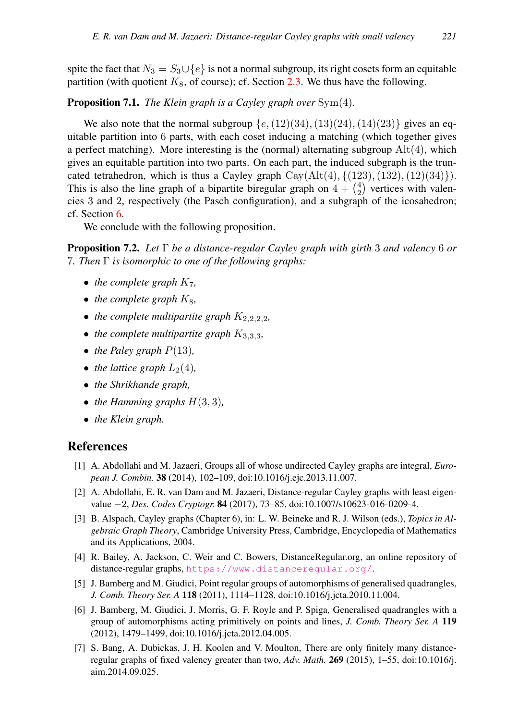spite the fact that  $N_3 = S_3 \cup \{e\}$  is not a normal subgroup, its right cosets form an equitable partition (with quotient  $K_8$ , of course); cf. Section [2.3.](#page-3-2) We thus have the following.

<span id="page-18-7"></span>Proposition 7.1. *The Klein graph is a Cayley graph over* Sym(4)*.*

We also note that the normal subgroup  $\{e,(12)(34),(13)(24),(14)(23)\}\$  gives an equitable partition into 6 parts, with each coset inducing a matching (which together gives a perfect matching). More interesting is the (normal) alternating subgroup  $Alt(4)$ , which gives an equitable partition into two parts. On each part, the induced subgraph is the truncated tetrahedron, which is thus a Cayley graph  $Cay(Alt(4), \{(123), (132), (12)(34)\})$ . This is also the line graph of a bipartite biregular graph on  $4 + {4 \choose 2}$  vertices with valencies 3 and 2, respectively (the Pasch configuration), and a subgraph of the icosahedron; cf. Section [6.](#page-14-0)

We conclude with the following proposition.

Proposition 7.2. *Let* Γ *be a distance-regular Cayley graph with girth* 3 *and valency* 6 *or* 7*. Then* Γ *is isomorphic to one of the following graphs:*

- *the complete graph*  $K_7$ *,*
- *the complete graph*  $K_8$ ,
- *the complete multipartite graph*  $K_{2,2,2,2}$ *,*
- *the complete multipartite graph*  $K_{3,3,3}$ *,*
- *the Paley graph*  $P(13)$ *,*
- *the lattice graph*  $L_2(4)$ *,*
- *the Shrikhande graph,*
- *the Hamming graphs*  $H(3,3)$ *,*
- *the Klein graph.*

# References

- <span id="page-18-6"></span>[1] A. Abdollahi and M. Jazaeri, Groups all of whose undirected Cayley graphs are integral, *European J. Combin.* 38 (2014), 102–109, doi:10.1016/j.ejc.2013.11.007.
- <span id="page-18-0"></span>[2] A. Abdollahi, E. R. van Dam and M. Jazaeri, Distance-regular Cayley graphs with least eigenvalue −2, *Des. Codes Cryptogr.* 84 (2017), 73–85, doi:10.1007/s10623-016-0209-4.
- <span id="page-18-2"></span>[3] B. Alspach, Cayley graphs (Chapter 6), in: L. W. Beineke and R. J. Wilson (eds.), *Topics in Algebraic Graph Theory*, Cambridge University Press, Cambridge, Encyclopedia of Mathematics and its Applications, 2004.
- <span id="page-18-4"></span>[4] R. Bailey, A. Jackson, C. Weir and C. Bowers, DistanceRegular.org, an online repository of distance-regular graphs, <https://www.distanceregular.org/>.
- <span id="page-18-3"></span>[5] J. Bamberg and M. Giudici, Point regular groups of automorphisms of generalised quadrangles, *J. Comb. Theory Ser. A* 118 (2011), 1114–1128, doi:10.1016/j.jcta.2010.11.004.
- <span id="page-18-5"></span>[6] J. Bamberg, M. Giudici, J. Morris, G. F. Royle and P. Spiga, Generalised quadrangles with a group of automorphisms acting primitively on points and lines, *J. Comb. Theory Ser. A* 119 (2012), 1479–1499, doi:10.1016/j.jcta.2012.04.005.
- <span id="page-18-1"></span>[7] S. Bang, A. Dubickas, J. H. Koolen and V. Moulton, There are only finitely many distanceregular graphs of fixed valency greater than two, *Adv. Math.* 269 (2015), 1–55, doi:10.1016/j. aim.2014.09.025.